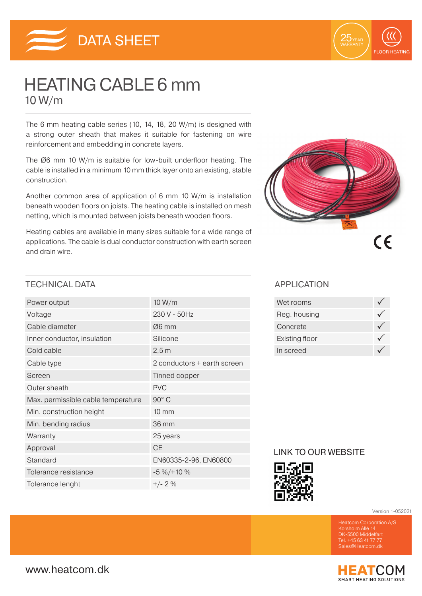



# HEATING CABLE 6 mm 10 W/m

The 6 mm heating cable series (10, 14, 18, 20 W/m) is designed with a strong outer sheath that makes it suitable for fastening on wire reinforcement and embedding in concrete layers.

The Ø6 mm 10 W/m is suitable for low-built underfloor heating. The cable is installed in a minimum 10 mm thick layer onto an existing, stable construction.

Another common area of application of 6 mm 10 W/m is installation beneath wooden floors on joists. The heating cable is installed on mesh netting, which is mounted between joists beneath wooden floors.

Heating cables are available in many sizes suitable for a wide range of applications. The cable is dual conductor construction with earth screen and drain wire.



## TECHNICAL DATA APPLICATION

| Power output                       | 10 W/m                      |
|------------------------------------|-----------------------------|
| Voltage                            | 230 V - 50Hz                |
| Cable diameter                     | $\varnothing6$ mm           |
| Inner conductor, insulation        | Silicone                    |
| Cold cable                         | 2,5m                        |
| Cable type                         | 2 conductors + earth screen |
| Screen                             | Tinned copper               |
| Outer sheath                       | <b>PVC</b>                  |
| Max. permissible cable temperature | $90^\circ$ C                |
| Min. construction height           | $10 \text{ mm}$             |
| Min. bending radius                | 36 mm                       |
| Warranty                           | 25 years                    |
| Approval                           | <b>CE</b>                   |
| Standard                           | EN60335-2-96, EN60800       |
| Tolerance resistance               | $-5\% / + 10\%$             |
| Tolerance lenght                   | $+/- 2%$                    |

| Wet rooms      |  |
|----------------|--|
| Reg. housing   |  |
| Concrete       |  |
| Existing floor |  |
| In screed      |  |

### LINK TO OUR WEBSITE



Version 1-052021

DK-5500 Middelfart Tel. +45 63 41 77 77